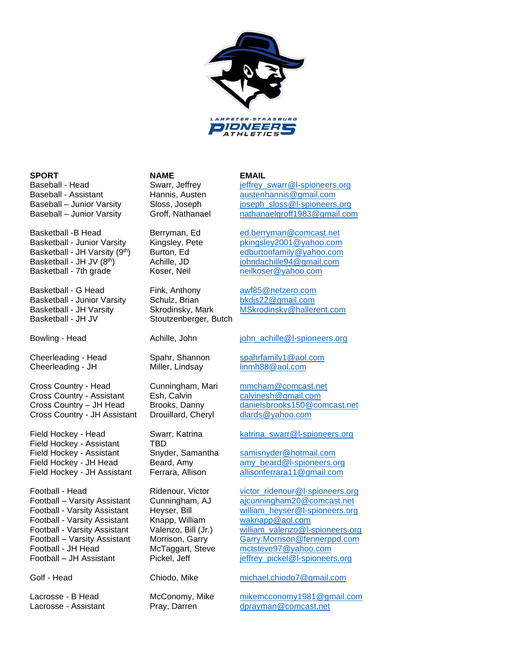

## **SPORT NAME EMAIL**

Basketball -B Head Berryman, Ed [ed.berryman@comcast.net](mailto:ed.berryman@comcast.net) Basketball - 7th grade Koser, Neil [neilkoser@yahoo.com](mailto:neilkoser@yahoo.com)

Basketball - G Head Fink, Anthony [awf85@netzero.com](mailto:awf85@netzero.com) Basketball - Junior Varsity Schulz, Brian [bkdjs22@gmail.com](mailto:bkdjs22@gmail.com) Basketball - JH JV Stoutzenberger, Butch

Cheerleading - JH Miller, Lindsay [linmh88@aol.com](mailto:linmh88@aol.com)

Cross Country - Head Cunningham, Mari [mmcham@comcast.net](mailto:mmcham@comcast.net) Cross Country - Assistant Esh, Calvin Ester [calvinesh@gmail.com](mailto:calvinesh@gmail.com) Cross Country - JH Assistant Drouillard, Cheryl [dlards@yahoo.com](mailto:dlards@yahoo.com)

Field Hockey - Assistant TBD Field Hockey - Assistant Snyder, Samantha [samisnyder@hotmail.com](mailto:samisnyder@hotmail.com)

Football - Varsity Assistant Knapp, William [waknapp@aol.com](mailto:waknapp@aol.com)

Baseball - Head **Swarr, Jeffrey and Symbol ieffrey** swarr@l-spioneers.org Baseball - Assistant Hannis, Austen [austenhannis@gmail.com](mailto:austenhannis@gmail.com) Baseball – Junior Varsity Sloss, Joseph in superportional sloss in superportionBaseball – Junior Varsity Groff, Nathanael [nathanaelgroff1983@gmail.com](mailto:nathanaelgroff1983@gmail.com)

Basketball - Junior Varsity Kingsley, Pete [pkingsley2001@yahoo.com](mailto:pkingsley2001@yahoo.com) Basketball - JH Varsity (9<sup>th</sup>) Burton, Ed [edburtonfamily@yahoo.com](mailto:edburtonfamily@yahoo.com) Basketball - JH JV (8<sup>th</sup>) Achille, JD *[johndachille94@gmail.com](mailto:johndachille94@gmail.com)* 

Basketball - JH Varsity Skrodinsky, Mark [MSkrodinsky@hallerent.com](mailto:MSkrodinsky@hallerent.com)

Bowling - Head **Achille, John** [john\\_achille@l-spioneers.org](mailto:john_achille@l-spioneers.org)

Cheerleading - Head Spahr, Shannon [spahrfamily1@aol.com](mailto:spahrfamily1@aol.com)

Cross Country – JH Head Brooks, Danny [danielsbrooks150@comcast.net](mailto:danielsbrooks150@comcast.net) 

## Field Hockey - Head Swarr, Katrina katrina swarr@l-spioneers.org

Field Hockey - JH Head Beard, Amy [amy\\_beard@l-spioneers.org](mailto:amy_beard@l-spioneers.org) Field Hockey - JH Assistant Ferrara, Allison [allisonferrara11@gmail.com](mailto:allisonferrara11@gmail.com)

Football - Head **Ridenour, Victor** victor ridenour@l-spioneers.org Football – Varsity Assistant Cunningham, AJ [ajcunningham20@comcast.net](mailto:ajcunningham20@comcast.net) Football - Varsity Assistant Heyser, Bill [william\\_heyser@l-spioneers.org](mailto:william_heyser@l-spioneers.org) Football - Varsity Assistant Valenzo, Bill (Jr.) [william\\_valenzo@l-spioneers.org](mailto:william_valenzo@l-spioneers.org) Football – Varsity Assistant Morrison, Garry [Garry.Morrison@fennerppd.com](mailto:Garry.Morrison@fennerppd.com)<br>Football - JH Head McTaggart. Steve mctsteve97@vahoo.com McTaggart, Steve [mctsteve97@yahoo.com](mailto:mctsteve97@yahoo.com) Football – JH Assistant Pickel, Jeff in the ieffrey pickel@l-spioneers.org

Golf - Head Chiodo, Mike [michael.chiodo7@gmail.com](mailto:michael.chiodo7@gmail.com)

Lacrosse - B Head McConomy, Mike [mikemcconomy1981@gmail.com](mailto:mikemcconomy1981@gmail.com) Lacrosse - Assistant Pray, Darren [dprayman@comcast.net](mailto:dprayman@comcast.net)